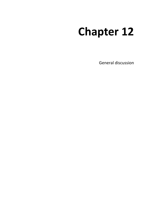# **Chapter 12**

General discussion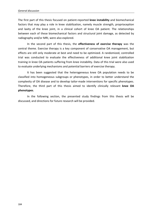The first part of this thesis focused on patient-reported **knee instability** and biomechanical factors that may play a role in knee stabilization, namely muscle strength, proprioception and laxity of the knee joint, in a clinical cohort of knee OA patient. The relationships between each of these biomechanical factors and structural joint damage, as detected by radiography and/or MRI, were also explored.

In the second part of this thesis, the **effectiveness of exercise therapy** was the central theme. Exercise therapy is a key component of conservative OA management, but effects are still only moderate at best and need to be optimized. A randomized, controlled trial was conducted to evaluate the effectiveness of additional knee joint stabilization training in knee OA patients suffering from knee instability. Data of this trial were also used to evaluate underlying mechanisms and potential barriers of exercise therapy.

It has been suggested that the heterogeneous knee OA population needs to be classified into homogeneous subgroups or phenotypes, in order to better understand the complexity of OA disease and to develop tailor-made interventions for specific phenotypes. Therefore, the third part of this thesis aimed to identify clinically relevant **knee OA phenotypes**.

In the following section, the presented study findings from this thesis will be discussed, and directions for future research will be provided.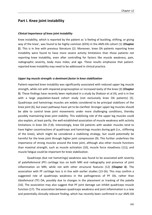## **Part I. Knee joint instability**

#### *Clinical importance of knee joint instability*

Knee instability, which is reported by the patient as 'a feeling of buckling, shifting, or giving way of the knee', was found to be highly common (65%) in the AMS-OA cohort (1) (**Chapter 2**). This is in line with previous literature (2). Moreover, knee OA patients reporting knee instability were found to have more severe activity limitations than those patients not reporting knee instability, even after controlling for factors like muscle weakness, pain, radiographic severity, body mass index, and age. These results emphasize that patientreported knee instability may need to be addressed in clinical practice.

#### *Upper leg muscle strength: a dominant factor in knee stabilization*

Patient-reported knee instability was significantly associated with reduced upper leg muscle strength, while not with impaired proprioception or increased laxity of the knee (3) (**Chapter 3**). These findings have recently been replicated in a study by Shakoor et al (4), and is in line with a large population-based cohort study (not exclusively knee OA patients) (5). Quadriceps and hamstrings muscles are widely considered to be principal stabilizers of the knee joint (6), but exact pathways have yet to be clarified. Stronger upper leg muscles should be able to control knee joint movements under more challenging conditions, thereby possibly maintaining knee joint stability. This stabilizing role of the upper leg muscles could also explain, at least partly, the well-established association of muscle weakness with activity limitations in knee OA (7;8). Interestingly, knee OA patients with weaker muscles tend to have higher cocontractions of quadriceps and hamstrings muscles during gait (i.e., stiffening of the knee), which might be considered a stabilizing strategy, but could potentially be harmful for the knee joint through higher joint compression (9). This further underlines the importance of strong muscles around the knee joint, although also other muscle functions than maximal strength, such as muscle activation (10), muscle force steadiness (11)), and muscle fatigue could be important for knee stabilization.

Quadriceps (but not hamstrings) weakness was found to be associated with severity of patellofemoral (PF) cartilage loss on both MRI and radiography and presence of joint inflammation on MRI, while not with other structural features (12) (**Chapter 6**). The association with PF cartilage loss is in line with earlier studies (13-16). This may confirm a suggested role of quadriceps weakness in the pathogenesis of PF OA, rather than tibiofemoral (TF) OA, possibly due to changes in the placement or tracking of the patella (16). The association may also suggest that PF joint damage can inhibit quadriceps muscle function (17). The association between quadriceps weakness and joint inflammation is a new and potentially clinically relevant finding, which has recently been confirmed in our AMS-OA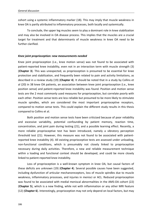cohort using a systemic inflammatory marker (18). This may imply that muscle weakness in knee OA is partly attributed to inflammatory processes, both locally and systemically.

To conclude, the upper leg muscles seem to play a dominant role in knee stabilization and may also be involved in OA disease process. This implies that the muscles are a crucial target for treatment and that determinants of muscle weakness in knee OA need to be further clarified.

## *Knee joint proprioception: new measurements needed*

Knee joint proprioception (i.e., knee motion sense) was not found to be associated with patient-reported knee instability, even not in an interaction term with muscle strength (3) (**Chapter 3**). This was unexpected, as proprioception is presumed to be essential for knee protection and stabilization, and frequently been related to pain and activity limitations, as described in a review study (19) (**Chapter 4**). It should be noted that in a study by Collins et al (20) in 38 knee OA patients, an association between knee joint proprioception (i.e., knee position sense) and patient-reported knee instability was found. Position and motion sense tests are the 2 most commonly used measures for proprioception, but correlate poorly with each other. Position sense tests are less reliable but presumed to be more likely to stimulate muscle spindles, which are considered the most important proprioceptive receptors, compared to motion sense tests. This could explain the different study results in this thesis compared to Collins et al.

Both position and motion sense tests have been criticized because of poor reliability and excessive variability, potential confounding by patient memory, reaction time, concentration, and joint pain during testing (21), and a possible learning effect. Recently, a more reliable proprioceptive test has been introduced, namely a vibratory perception threshold test (21). However, this measure was not found to be associated with patientreported knee instability (4). All existing proprioceptive tests are assessed under unloading, non-functional conditions, which is presumably not closely linked to proprioception necessary during daily activities. Therefore, a new and reliable measurement technique within a loading and functional context should be developed, and could be more closely linked to patient-reported knee instability.

Loss of proprioception is a well-known symptom in knee OA, but causal factors of these deficits are unknown (19) (**Chapter 4**). Several possible causes have been suggested, including dysfunction of articular mechanoreceptors, loss of muscle spindles due to muscle weakness, inflammatory processes, and injuries in menisci or ACL. Reduced proprioception was found to be associated with medial meniscal abnormalities in the AMS-OA cohort (22) (**Chapter 5**), which is a new finding, while not with inflammation or any other MRI feature (12) (**Chapter 6**). Interestingly, proprioception may not only depend on local factors, but may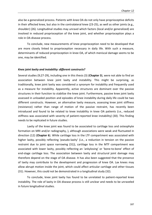also be a generalized process. Patients with knee OA do not only have proprioceptive deficits in their affected knee, but also in the contralateral knee (23-25), as well as other joints (e.g., shoulder) (26). Longitudinal studies may unravel which factors (local and/or generalized) are involved in reduced proprioception of the knee joint, and whether proprioception plays a role in OA disease process.

To conclude, new measurements of knee proprioception need to be developed that are more closely linked to proprioception necessary in daily life. With such a measure, determinants of reduced proprioception in knee OA, of which meniscal damage seems to be one, may be identified.

#### *Knee joint laxity and instability: different constructs?*

Several studies (9;27-29), including one in this thesis (3) (**Chapter 3**), were not able to find an association between knee joint laxity and instability. This might be surprising, as traditionally, knee joint laxity was considered a synonym for instability and frequently used as a measure for instability. Apparently, active structures are dominant over the passive structures in their function to stabilize the knee joint. Furthermore, passive knee joint laxity assessed in unloaded position and episodes of knee instability during daily life could be two different constructs. However, an alternative laxity measure, assessing knee joint stiffness (resistance) rather than range of motion of the passive restraint, has recently been introduced and found to be related to knee instability in knee OA patients (i.e., reduced stiffness was associated with severity of patient-reported knee instability) (30). This finding needs to be replicated in future studies.

Laxity of the knee joint was found to be associated to cartilage loss and osteophyte formation on MRI and/or radiography, ), although associations were weak and fluctuated in direction (12) (**Chapter 6**). While cartilage loss in the LTF compartment was associated with higher laxity, possibly reflecting 'pseudo-laxity' (i.e., a reduction in tension on the passive restraint due to joint space narrowing (31)), cartilage loss in the MTF compartment was associated with lower laxity, possibly reflecting an 'ankylosing' or 'bone-to-bone' effect of end-stage cartilage loss. The association between laxity and structural joint damage may therefore depend on the stage of OA disease. It has also been suggested that the presence of laxity may contribute to the development and progression of knee OA. Lax knees may allow abrupt motion inside the joint, which could affect articular cartilage and other tissues (31). However, this could not be demonstrated in a longitudinal study (32).

To conclude, knee joint laxity has found to be unrelated to patient-reported knee instability. The role of laxity in OA disease process is still unclear and needs to be unraveled in future longitudinal studies.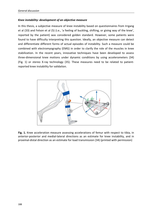## *Knee instability: development of an objective measure*

In this thesis, a subjective measure of knee instability based on questionnaires from Irrgang et al (33) and Felson et al (5) (i.e., 'a feeling of buckling, shifting, or giving way of the knee', reported by the patient) was considered golden standard. However, some patients were found to have difficulty interpreting this question. Ideally, an objective measure can detect and differentiate different forms of actual episodes of instability. Such a measure could be combined with electromyography (EMG) in order to clarify the role of the muscles in knee stabilization. In the recent years, innovative techniques have been developed to assess three-dimensional knee motions under dynamic conditions by using accelerometers (34) (Fig. 1) or stereo X-ray technology (35). These measures need to be related to patientreported knee instability for validation.



**Fig. 1.** Knee acceleration measure assessing accelerations of femur with respect to tibia, in anterior-posterior and medial-lateral directions as an estimate for knee instability, and in proximal-distal direction as an estimate for load transmission (34) (printed with permission)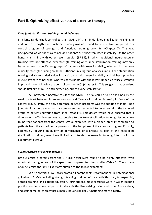# **Part II. Optimizing effectiveness of exercise therapy**

#### *Knee joint stabilization training: no added value*

In a large randomized, controlled trial (STABILITY-trial), initial knee stabilization training, in addition to strength and functional training was not found to be effective compared to a control program of strength and functional training only (36) (**Chapter 7**). This was unexpected, as we specifically included patients suffering from knee instability. On the other hand, it is in line with other recent studies (37-39), in which additional 'neuromuscular training' was not effective over strength training only. Knee stabilization training may only be necessary in specific subgroups of patients with knee instability, whereas in the large majority, strength training could be sufficient. In subgroup-analyses, initial knee stabilization training did show added value in participants with knee instability and higher upper leg muscle strength at baseline, whereas participants with the lowest upper leg muscle strength improved more following the control program (40) (**Chapter 8**). This suggests that exercises should first aim at muscle strengthening, prior to knee stabilization.

The unexpected negative result of the STABILITY-trial could also be explained by the small contrast between interventions and a difference in training intensity in favor of the control group. Firstly, the only difference between programs was the addition of initial knee joint stabilization training, as this component was expected to be essential in the targeted group of patients suffering from knee instability. This design would have ensured that a difference in effectiveness was attributable to the knee stabilization training. Secondly, we found that patients from the control group exercised with a higher intensity compared to patients from the experimental program in the last phase of the exercise program. Possibly, extensively focusing on quality of performance of exercises, as part of the knee joint stabilization training, may have limited an intended increase in training intensity in the experimental group.

## *Success factors of exercise therapy*

Both exercise programs from the STABILITY-trial were found to be highly effective, with effects at the higher end of the spectrum compared to other studies (Table 1). The success of our exercise therapy is likely attributable to the following factors:

 *Type of exercises.* We incorporated all components recommended in (inter)national guidelines (51-54), including strength training, training of daily activities (i.e., task-specific), aerobic training, and patient education. Furthermore, most exercises were in weightbearing position and incorporated parts of daily activities like walking, rising and sitting from a chair, and stair-climbing, thereby presumably influencing daily functioning more directly.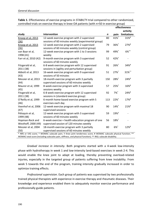|                                                                                                                  |                                                                             |     | effectiveness      |             |
|------------------------------------------------------------------------------------------------------------------|-----------------------------------------------------------------------------|-----|--------------------|-------------|
|                                                                                                                  |                                                                             |     |                    | activity    |
| study                                                                                                            | intervention                                                                | n   | pain               | limitations |
| Knoop et al, 2013                                                                                                | 12-week exercise program with 2 supervised                                  | 80  | 41%*               | 31%#        |
| (36)                                                                                                             | sessions of 60 minutes weekly (experimental group)                          |     |                    |             |
| Knoop et al, 2013                                                                                                | 12-week exercise program with 2 supervised                                  | 79  | 36%*               | 27%#        |
| (36)                                                                                                             | sessions of 60 minutes weekly (control group)                               |     |                    |             |
| van Baar et al,                                                                                                  | 12-week exercise program with 1 to 3 sessions                               | 99  | 49%*               | $6\%^{++}$  |
| 1998 (41)                                                                                                        | weekly                                                                      |     |                    |             |
| Farr et al, 2010 (42)                                                                                            | 9-month exercise program with 3 supervised<br>sessions of 60 minutes weekly | 52  | $42%$ <sup>+</sup> |             |
| Fitzgerald et al,                                                                                                | 6-8 week exercise program with 12 supervised                                | 91  | 26%*               | 34%#        |
| 2011 (38)                                                                                                        | sessions in (agility and perturbation group)                                |     |                    |             |
| Abbott et al, 2013                                                                                               | 16-week exercise program with 9 supervised                                  | 51  | 27%*               | 31%**       |
| (43)                                                                                                             | sessions of 50 minutes                                                      |     |                    |             |
| Messier et al, 2013                                                                                              | 18-month exercise program with 3 partially                                  | 150 | $28%$ <sup>+</sup> | 24%#        |
| (44)                                                                                                             | supervised sessions of 60 minutes weekly                                    |     |                    |             |
| Maurer et al, 1999                                                                                               | 8-week exercise program with 3 supervised                                   | 57  | $25%$ <sup>+</sup> | 16%#        |
| (45)                                                                                                             | sessions weekly                                                             |     |                    |             |
| Fitzgerald et al,                                                                                                | 6-8 week exercise program with 12 supervised                                | 92  | $7\%$ <sup>*</sup> | 24%#        |
| 2011 (38)                                                                                                        | sessions in (standard exercise group)                                       |     |                    |             |
| O'Reilly et al, 1999                                                                                             | 6-month home-based exercise program with 5                                  | 113 | $22%$ <sup>+</sup> | 17%#        |
| (46)                                                                                                             | exercises each day                                                          |     |                    |             |
| Veenhof et al, 2006                                                                                              | 12-week exercise program with maximal 18                                    | 90  | 14%*               | 21%#        |
| (47)                                                                                                             | supervised sessions                                                         |     |                    |             |
| Péloquin et al,                                                                                                  | 12-week exercise program with 3 supervised                                  | 59  | $19%^{+}$          |             |
| 1999 (48)                                                                                                        | sessions of 60 minutes weekly                                               |     |                    |             |
| Hopman-Rock and                                                                                                  | 6-week exercise + health education program of one                           | 56  | 18%*               |             |
| Westhoff, 2000 (49)                                                                                              | supervised session of 120 minutes weekly                                    |     |                    |             |
| Messier et al, 2004                                                                                              | 18-month exercise program with 3 partially                                  | 80  | $6\%$ <sup>+</sup> | 12%#        |
| (50)                                                                                                             | supervised sessions of 60 minutes weekly                                    |     |                    |             |
| * NRS or VAS score; † WOMAC subscale pain; ‡ Knee joint tenderness score; # WOMAC subscale physical function; ** |                                                                             |     |                    |             |
| WOMAC total score (including subscales pain, stiffness, and physical function); ++ IRGL subscale disability.     |                                                                             |     |                    |             |

**Table 1**. Effectiveness of exercise programs in STABILTY-trial compared to other randomized, controlled trials on exercise therapy in knee OA patients (with *n*>50 in exercise group)

 *Gradual increase in intensity.* Both programs started with a 4-week low-intensity phase with hydrotherapy in week 1 and low-intensity land-based exercises in week 2-4. This would enable the knee joint to adapt at loading, thereby preventing overload-related injuries, especially in the targeted group of patients suffering from knee instability. From week 5 towards the end of the program, training intensity gradually increased in order to optimize training effects.

 *Professional supervision*. Each group of patients was supervised by two professionally trained physical therapists with experience in exercise therapy and rheumatic diseases. Their knowledge and experience enabled them to adequately monitor exercise performance and professionally guide patients.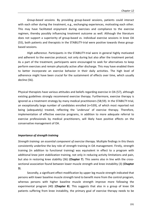*Group-based sessions.* By providing group-based sessions, patients could interact with each other during the treatment, e.g., exchanging experiences, motivating each other. This may have facilitated enjoyment during exercises and compliance to the exercise regimen, thereby possibly influencing treatment outcome as well. Although the literature does not support a superiority of group-based vs. individual exercise sessions in knee OA (55), both patients and therapists in the STABILITY-trial were positive towards these groupbased sessions.

 *High adherence*. Participants in the STABILITY-trial were in general highly motivated and adherent to the exercise protocol, not only during but also after the treatment period. As a part of the treatment, participants were encouraged to seek for alternatives to keep perform exercises and remain physically active after discharge. This may have enabled them to better incorporate an exercise behavior in their daily activities. The high level of adherence might have been crucial for the sustainment of effects over time, which usually decline (56).

Physical therapists have various attitudes and beliefs regarding exercise in OA (57), although existing guidelines strongly recommend exercise therapy. Furthermore, exercise therapy is ignored as a treatment strategy by many medical practitioners (58;59). In the STABILTY-trial, an exceptionally large number of candidates enrolled (*n*=539), of which most reported not being (adequately) treated, reflecting the 'underuse' of exercise therapy. Therefore, implementation of effective exercise programs, in addition to more adequate referral to exercise professionals by medical practitioners, will likely have positive effects on the conservative management of OA.

## *Importance of strength training*

*Strength training: an essential component of exercise therapy.* Multiple findings in this thesis consistently underline the key role of strength training in OA management. Firstly, strength training (in addition to functional training) was equivalent in effect to a program with additional knee joint stabilization training, not only in reducing activity limitations and pain, but also in restoring knee stability (36) (**Chapter 7**). This seems also in line with the crosssectional association found between lower muscle strength and knee instability (3) (**Chapter 3**).

Secondly, a significant effect modification by upper leg muscle strength indicated that persons with lower baseline muscle strength tend to benefit more from the control program, whereas persons with higher baseline muscle strength improve more following the experimental program (40) (**Chapter 8**). This suggests that also in a group of knee OA patients suffering from knee instability, the primary goal of exercise therapy needs to be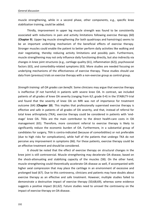muscle strengthening, while in a second phase, other components, e.g., specific knee stabilization training, could be added.

Thirdly, improvement in upper leg muscle strength was found to be consistently associated with reductions in pain and activity limitations following exercise therapy (60) (**Chapter 9**). Upper leg muscle strengthening (for both quadriceps and hamstrings) seems to be an important underlying mechanism of the beneficial effects of exercise therapy. Stronger muscles could enable the patient to better perform daily activities like walking and stair negotiating, thereby reducing activity limitations and possibly pain. Furthermore, muscle strengthening may not only influence daily functioning directly, but also indirectly via changes in knee joint structures (e.g., cartilage quality (61), inflammation (62)), psychosocial factors (63), and comorbidity-related symptoms (63). More studies are needed focusing on underlying mechanisms of the effectiveness of exercise therapy. These studies should use data from (previous) trials on exercise therapy with a non-exercise group as control group.

*Strength training: all OA grades can benefit.* Some clinicians may argue that exercise therapy is ineffective (if not harmful) in patients with severe knee OA. In contrast, we included patients of all grades of knee OA severity (ranging from K/L grade 0-4) in the STABILTY-trial and found that the severity of knee OA on MRI was not of importance for treatment outcome (64) (**Chapter 10**). This implies that professionally supervised exercise therapy is effective and safe in patients of all grades of OA severity, and that, instead of referral for total knee arthroplasty (TKA), exercise therapy could be considered in patients with 'endstage' knee OA. TKAs are the main contributor to the direct health-care costs in OA management (65). Therefore, more consistent referral to exercise therapy is likely to significantly reduce the economic burden of OA. Furthermore, in a substantial group of candidates for surgery, TKA is contra-indicated (because of comorbidities) or not preferable (due to high risks for complications), while half of the patients that undergo TKA do not perceive any improvement in symptoms (66). For these patients, exercise therapy could be an effective treatment and should be considered.

It should be noted that the effect of exercise therapy on structural changes in the knee joint is still controversial. Muscle strengthening may decelerate OA disease, based on the shock-attenuating and stabilizing capacity of the muscles (58). On the other hand, muscle strengthening could theoretically accelerate OA disease as well, if accompanied with higher axial compression that may place the cartilage in an environment of excessive and prolonged load (67). Due to this controversy, clinicians and patients may have doubts about exercise therapy as an effective and safe treatment. However, multiple studies failed to demonstrate a destructive impact of exercise therapy (50;68;69), whereas some evidence suggests a positive impact (61;62). Future studies need to unravel the controversy on the impact of exercise therapy on OA disease.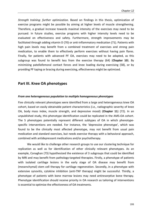*Strength training: further optimization.* Based on findings in this thesis, optimization of exercise programs might be possible by aiming at higher levels of muscle strengthening. Therefore, a gradual increase towards maximal intensity of the exercises may need to be pursued. In future studies, exercise programs with higher intensity levels need to be evaluated on effectiveness and safety. Furthermore, strength improvements may be facilitated through adding vitamin D (70) or anti-inflammatory medication (71). Patients with high pain levels may benefit from a combined treatment of exercises and strong pain medication, to enable them to effectively perform exercises without having pain flares. Finally, for patients with advanced PF OA, exercises may need to be adapted, as this subgroup was found to benefit less from the exercise therapy (64) (**Chapter 10**). By minimizing patellofemoral contact forces and knee loading during exercising (58), or by providing PF taping or bracing during exercising, effectiveness might be optimized.

## **Part III. Knee OA phenotypes**

#### *From one heterogeneous population to multiple homogeneous phenotypes*

Five clinically relevant phenotypes were identified from a large and heterogeneous knee OA cohort, based on easily obtainable patient characteristics (i.e., radiographic severity of knee OA, body mass index, muscle strength, and depressive mood) (**Chapter 11**) (72). In an unpublished study, this phenotype identification could be replicated in the AMS-OA cohort. The 5 phenotypes potentially represent different subtypes of OA in which phenotypespecific interventions are needed. For instance, the 'depressive phenotype', which was found to be the clinically most affected phenotype, may not benefit from usual pain medication and standard exercises, but needs exercise therapy with a behavioral approach, combined with antidepressant medications and/or psychotherapy.

We would like to challenge other research groups to use our clustering technique for replication as well as for identification of other clinically relevant phenotypes. As an example, Conaghan (73) hypothesized the existence of 3 subgroups that could be identified by MRI and may benefit from pathology-targeted therapies. Firstly, a phenotype of patients with isolated cartilage lesions in the early stage of OA disease may benefit from (mesenchymal) stem cell therapy for cartilage regeneration. Secondly, in a phenotype with extensive synovitis, cytokine inhibition (anti-TNF therapy) might be successful. Thirdly, a phenotype of patients with bone marrow lesions may need antiresorptive bone therapy. Phenotype identification should receive priority in OA research as tailoring of interventions is essential to optimize the effectiveness of OA treatments.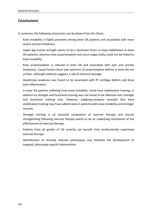# **Conclusions**

In summary, the following conclusions can be drawn from this thesis.

- Knee instability is highly prevalent among knee OA patients and associated with more severe activity limitations.
- Upper leg muscle strength seems to be a dominant factor in knee stabilization in knee OA patients, whereas knee proprioception and varus-valgus laxity could not be linked to knee instability.
- Knee proprioception is reduced in knee OA and associated with pain and activity limitations. Causal factors (local and systemic) of proprioceptive deficits in knee OA are unclear, although evidence suggests a role of meniscal damage.
- Quadriceps weakness was found to be associated with PF cartilage defects and knee joint inflammation.
- In knee OA patients suffering from knee instability, initial knee stabilization training, in addition to strength and functional training was not found to be effective over strength and functional training only. However, subgroup-analyses revealed that knee stabilization training may have added value in patients with knee instability and stronger muscles.
- Strength training is an essential component of exercise therapy and muscle strengthening following exercise therapy seems to be an underlying mechanism of the effectiveness of exercise therapy.
- Patients from all grades of OA severity can benefit from professionally supervised exercise therapy.
- Identification of clinically relevant phenotypes may facilitate the development of targeted, phenotype-specific interventions.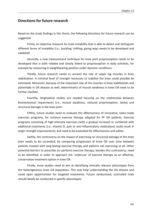## **Directions for future research**

Based on the study findings in this thesis, the following directions for future research can be suggested.

Firstly, an objective measure for knee instability that is able to detect and distinguish different forms of instability (i.e., buckling, shifting, giving way) needs to be developed and validated.

Secondly, a new measurement technique for knee joint proprioception needs to be developed that is both reliable and closely linked to proprioception in daily activities, for example by measuring in weightbearing position under dynamic conditions.

Thirdly, future research needs to unravel the role of upper leg muscles in knee stabilization. A minimal level of strength necessary to stabilize the knee could possibly be estimated. Moreover, because of the important role of the muscles in knee stabilization and potentially in OA disease as well, determinants of muscle weakness in knee OA need to be further clarified.

Fourthly, longitudinal studies are needed focusing on the relationship between biomechanical impairments (i.e., muscle weakness, reduced proprioception, laxity) and structural damage in the knee joint.

Fifthly, future studies need to evaluate the effectiveness of innovative, tailor-made exercises programs, for instance exercise therapy adapted for PF OA patients. Exercise programs consisting of high-intensity exercises (with a gradual increase) or combined with additional treatments (i.e., vitamin D, pain or anti-inflammatory medication) could result in larger strength improvements, but need to be evaluated for effectiveness and safety.

Sixthly, the controversy on the impact of exercising on structural damage of the knee joint needs to be unraveled, by comparing progression of knee OA over time between patients treated with long-lasting exercise therapy and patients not exercising at all. Other potential barriers to prescribe (or perform) exercise therapy, besides this controversy, need to be identified, in order to approach the 'underuse' of exercise therapy as an effective, conservative treatment option in knee OA.

Finally, more studies need to aim at identifying clinically relevant phenotypes from the heterogeneous knee OA population. This may help understanding the OA disease and could open opportunities for targeted treatments. Future randomized, controlled trials should ideally be conducted in specific phenotypes.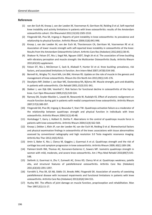#### **References**

- (1) van der Esch M, Knoop J, van der Leeden M, Voorneman R, Gerritsen M, Reiding D et al. Self-reported knee instability and activity limitations in patients with knee osteoarthritis: results of the Amsterdam osteoarthritis cohort. Clin Rheumatol 2012;31(10):1505-1510.
- (2) Fitzgerald GK, Piva SR, Irrgang JJ. Reports of joint instability in knee osteoarthritis: its prevalence and relationship to physical function. Arthritis Rheum 2004;51(6):941-946.
- (3) Knoop J, van der Leeden M, van der Esch M, Thorstensson CA, Gerritsen M, Voorneman RE et al. Association of lower muscle strength with self-reported knee instability in osteoarthritis of the knee: Results from the Amsterdam Osteoarthritis Cohort. Arthritis Care Res (Hoboken) 2012;64(1):38-45.
- (4) Shakoor N, Felson DT, Niu J, Segal NA, Nguyen USDT, Singh JA et al. The association of knee buckling with vibratory perception and muscle strength: the Multicenter Osteoarthritis Study. Arthritis Rheum 2013;65(10) supplement.
- (5) Felson DT, Niu J, McClennan C, Sack B, Aliabadi P, Hunter DJ et al. Knee buckling: prevalence, risk factors, and associated limitations in function. Ann Intern Med 2007;147(8):534-540.
- (6) Bennell KL, Wrigley TV, Hunt MA, Lim BW, Hinman RS. Update on the role of muscle in the genesis and management of knee osteoarthritis. Rheum Dis Clin North Am 2013;39(1):145-176.
- (7) Steultjens MP, Dekker J, van Baar ME, Oostendorp RA, Bijlsma JW. Muscle strength, pain and disability in patients with osteoarthritis. Clin Rehabil 2001;15(3):331-341.
- (8) Dekker J, van Dijk GM, Veenhof C. Risk factors for functional decline in osteoarthritis of the hip or knee. Curr Opin Rheumatol 2009;21(5):520-524.
- (9) Ramsey DK, Snyder-Mackler L, Lewek M, Newcomb W, Rudolph KS. Effect of anatomic realignment on muscle function during gait in patients with medial compartment knee osteoarthritis. Arthritis Rheum 2007;57(3):389-397.
- (10) Fitzgerald GK, Piva SR, Irrgang JJ, Bouzubar F, Starz TW. Quadriceps activation failure as a moderator of the relationship between quadriceps strength and physical function in individuals with knee osteoarthritis. Arthritis Rheum 2004;51(1):40-48.
- (11) Hortobagyi T, Garry J, Holbert D, DeVita P. Aberrations in the control of quadriceps muscle force in patients with knee osteoarthritis. Arthritis Rheum 2004;51(4):562-569.
- (12) Knoop J, Dekker J, Klein JP, van der Leeden M, van der Esch M, Reiding D et al. Biomechanical factors and physical examination findings in osteoarthritis of the knee: associations with tissue abnormalities assessed by conventional radiography and high resolution 3.0 Tesla magnetic resonance imaging. Arthritis Res Ther 2012;14(5):R212.
- (13) Amin S, Baker K, Niu J, Clancy M, Goggins J, Guermazi A et al. Quadriceps strength and the risk of cartilage loss and symptom progression in knee osteoarthritis. Arthritis Rheum 2009; 60(1):189-198.
- (14) Palmieri-Smith RM, Thomas AC, Karvonen-Gutierrez C, Sowers MF. Isometric quadriceps strength in women with mild, moderate, and severe knee osteoarthritis. Am J Phys Med Rehabil 2010;89(7):541- 548.
- (15) Stefanik JJ, Guermazi A, Zhu Y, Zumwalt AC, Gross KD, Clancy M et al. Quadriceps weakness, patella alta, and structural features of patellofemoral osteoarthritis. Arthritis Care Res (Hoboken) 2011;63(10):1391-1397.
- (16) Farrokhi S, Piva SR, Gil AB, Oddis CV, Brooks MM, Fitzgerald GK. Association of severity of coexisting patellofemoral disease with increased impairments and functional limitations in patients with knee osteoarthritis. Arthritis Care Res (Hoboken) 2013;65(4):544-551.
- (17) Hurley MV. The effects of joint damage on muscle function, proprioception and rehabilitation. Man Ther 1997;2(1):11-17.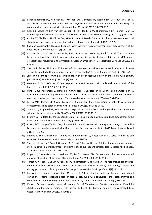- (18) Sanchez-Ramirez DC, van der LM, van der EM, Gerritsen M, Roorda LD, Verschueren S et al. Association of serum C-reactive protein and erythrocyte sedimentation rate with muscle strength in patients with knee osteoarthritis. Rheumatology (Oxford) 2013;52(4):727-732.
- (19) Knoop J, Steultjens MP, van der Leeden M, van der Esch M, Thorstensson CA, Roorda LD et al. Proprioception in knee osteoarthritis: a narrative review. Osteoarthritis Cartilage 2011;19(4):381-388.
- (20) Collins AT, Blackburn JT, Olcott CW, Miles J, Jordan J, Dirschl DR et al. Stochastic resonance electrical stimulation to improve proprioception in knee osteoarthritis. Knee 2011;18(5):317-22.
- (21) Shakoor N, Agrawal A, Block JA. Reduced lower extremity vibratory perception in osteoarthritis of the knee. Arthritis Rheum 2008;59(1):117-121.
- (22) van der Esch M, Knoop J, Hunter DJ, Klein JP, van der Leeden M, Knol DL et al. The association between reduced knee joint proprioception and medial meniscal abnormalities using MRI in knee osteoarthritis: results from the Amsterdam Osteoarthritis cohort. Osteoarthritis Cartilage 2013;21(5): 676-681.
- (23) Sharma L, Pai YC, Holtkamp K, Rymer WZ. Is knee joint proprioception worse in the arthritic knee versus the unaffected knee in unilateral knee osteoarthritis? Arthritis Rheum 1997;40(8):1518-1525.
- (24) Jerosch J, Schmidt K, Prymka M. [Modification of proprioceptive ability of knee joints with primary gonarthrosis]. Unfallchirurg 1997;100(3):219-224.
- (25) Garsden LR, Bullock-Saxton JE. Joint reposition sense in subjects with unilateral osteoarthritis of the knee. Clin Rehabil 1999;13(2):148-155.
- (26) Lund H, Juul-Kristensen B, Hansen K, Christensen R, Christensen H, Danneskiold-Samsoe B et al. Movement detection impaired in patients with knee osteoarthritis compared to healthy controls: a cross-sectional case-control study. J Musculoskelet Neuronal Interact 2008;8(4):391-400.
- (27) Lewek MD, Ramsey DK, Snyder-Mackler L, Rudolph KS. Knee stabilization in patients with medial compartment knee osteoarthritis. Arthritis Rheum 2005;52(9):2845-2853.
- (28) Schmitt LC, Fitzgerald GK, Reisman AS, Rudolph KS. Instability, laxity, and physical function in patients with medial knee osteoarthritis. Phys Ther 2008;88(12):1506-1516.
- (29) Schmitt LC, Rudolph KS. Muscle stabilization strategies in people with medial knee osteoarthritis: the effect of instability. J Orthop Res 2008;26(9):1180-1185.
- (30) Creaby MW, Wrigley TV, Lim BW, Hinman RS, Bryant AL, Bennell KL. Self-reported knee joint instability is related to passive mechanical stiffness in medial knee osteoarthritis. BMC Musculoskelet Disord 2013;14(1):326.
- (31) Sharma L, Lou C, Felson DT, Dunlop DD, Kirwan-Mellis G, Hayes KW et al. Laxity in healthy and osteoarthritic knees. Arthritis Rheum 1999;42(5):861-870.
- (32) Sharma L, Eckstein F, Song J, Guermazi A, Prasad P, Kapoor D et al. Relationship of meniscal damage, meniscal extrusion, malalignment, and joint laxity to subsequent cartilage loss in osteoarthritic knees. Arthritis Rheum 2008;58(6):1716-1726.
- (33) Irrgang JJ, Snyder-Mackler L, Wainner RS, Fu FH, Harner CD. Development of a patient-reported measure of function of the knee. J Bone Joint Surg Am 1998;80(8):1132-1145.
- (34) Turcot K, Aissaoui R, Boivin K, Pelletier M, Hagemeister N, de Guise JA. The responsiveness of threedimensional knee accelerations used as an estimation of knee instability and loading transmission during gait in osteoarthritis patient's follow-up. Osteoarthritis Cartilage 2009;17(2):213-219.
- (35) Farrokhi S, Tashman S, Gil AB, Klatt BA, Fitzgerald GK. Are the kinematics of the knee joint altered during the loading response phase of gait in individuals with concurrent knee osteoarthritis and complaints of joint instability? A dynamic stereo X-ray study. Clin Biomech 2012;27(4):384-389.
- (36) Knoop J, Dekker J, van der Leeden M., van der Esch M, Thorstensson CA, Gerritsen M et al. Knee joint stabilization therapy in patients with osteoarthritis of the knee: a randomized, controlled trial. Osteoarthritis Cartilage 2013;21(8):1025-34.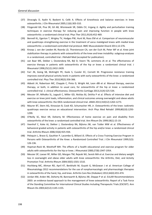- (37) Diracoglu D, Aydin R, Baskent A, Celik A. Effects of kinesthesia and balance exercises in knee osteoarthritis. J Clin Rheumatol 2005;11(6):303-310.
- (38) Fitzgerald GK, Piva SR, Gil AB, Wisniewski SR, Oddis CV, Irrgang JJ. Agility and perturbation training techniques in exercise therapy for reducing pain and improving function in people with knee osteoarthritis: a randomized clinical trial. Phys Ther 2011;91(4):452-469.
- (39) Bennell KL, Egerton T, Wrigley TV, Hodges PW, Hunt M, Roos EM et al. Comparison of neuromuscular and quadriceps strengthening exercise in the treatment of varus malaligned knees with medial knee osteoarthritis: a randomised controlled trial protocol. BMC Musculoskelet Disord 2011;12:276.
- (40) Knoop J, van der Leeden M, Roorda LD, Thorstensson CA, van der Esch M, Peter WF et al. Knee joint stabilization therapy in patients with osteoarthritis of the knee and knee instability: subgroup-analyses in a randomized, controlled trial. J Rehabil Med (accepted for publication).
- (41) van Baar ME, Dekker J, Oostendorp RA, Bijl D, Voorn TB, Lemmens JA et al. The effectiveness of exercise therapy in patients with osteoarthritis of the hip or knee: a randomized clinical trial. J Rheumatol 1998;25(12):2432-2439.
- (42) Farr JN, Going SB, McKnight PE, Kasle S, Cussler EC, Cornett M. Progressive resistance training improves overall physical activity levels in patients with early osteoarthritis of the knee: a randomized controlled trial. Phys Ther 2010;90(3):356-366.
- (43) Abbott JH, Robertson MC, Chapple C, Pinto D, Wright AA, Leon dlB et al. Manual therapy, exercise therapy, or both, in addition to usual care, for osteoarthritis of the hip or knee: a randomized controlled trial. 1: clinical effectiveness. Osteoarthritis Cartilage 2013;21(4):525-534.
- (44) Messier SP, Mihalko SL, Legault C, Miller GD, Nicklas BJ, DeVita P et al. Effects of intensive diet and exercise on knee joint loads, inflammation, and clinical outcomes among overweight and obese adults with knee osteoarthritis: the IDEA randomized clinical trial. JAMA 2013;310(12):1263-1273.
- (45) Maurer BT, Stern AG, Kinossian B, Cook KD, Schumacher HR, Jr. Osteoarthritis of the knee: isokinetic quadriceps exercise versus an educational intervention. Arch Phys Med Rehabil 1999;80(10):1293- 1299.
- (46) O'Reilly SC, Muir KR, Doherty M. Effectiveness of home exercise on pain and disability from osteoarthritis of the knee: a randomised controlled trial. Ann Rheum Dis 1999;58(1):15-19.
- (47) Veenhof C, Koke AJ, Dekker J, Oostendorp RA, Bijlsma JW, van Tulder MW et al. Effectiveness of behavioral graded activity in patients with osteoarthritis of the hip and/or knee: a randomized clinical trial. Arthritis Rheum 2006;55(6):925-934.
- (48) Peloquin L, Bravo G, Gauthier P, Lacombe G, Billiard JS. Effects of a Cross-Training Exercise Program in Persons with Osteoarthritis of the Knee: a Randomized Controlled Trial. J Clin Rheumatol 1999;5(3): 126-136.
- (49) Hopman-Rock M, Westhoff MH. The effects of a health educational and exercise program for older adults with osteoarthritis for the hip or knee. J Rheumatol 2000;27(8):1947-1954.
- (50) Messier SP, Loeser RF, Miller GD, Morgan TM, Rejeski WJ, Sevick MA et al. Exercise and dietary weight loss in overweight and obese older adults with knee osteoarthritis: the Arthritis, Diet, and Activity Promotion Trial. Arthritis Rheum 2004;50(5):1501-1510.
- (51) Hochberg MC, Altman RD, April KT, Benkhalti M, Guyatt G, McGowan J et al. American College of Rheumatology 2012 recommendations for the use of nonpharmacologic and pharmacologic therapies in osteoarthritis of the hand, hip, and knee. Arthritis Care Res (Hoboken) 2012;64(4):455-474.
- (52) Jordan KM, Arden NK, Doherty M, Bannwarth B, Bijlsma JW, Dieppe P et al. EULAR Recommendations 2003: an evidence based approach to the management of knee osteoarthritis: Report of a Task Force of the Standing Committee for International Clinical Studies Including Therapeutic Trials (ESCISIT). Ann Rheum Dis 2003;62(12):1145-1155.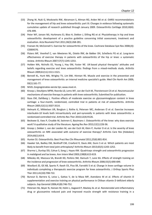- (53) Zhang W, Nuki G, Moskowitz RW, Abramson S, Altman RD, Arden NK et al. OARSI recommendations for the management of hip and knee osteoarthritis: part III: Changes in evidence following systematic cumulative update of research published through January 2009. Osteoarthritis Cartilage 2010;18(4): 476-499.
- (54) Peter WF, Jansen MJ, Hurkmans EJ, Bloo H, Dekker J, Dilling RG et al. Physiotherapy in hip and knee osteoarthritis: development of a practice guideline concerning initial assessment, treatment and evaluation. Acta Reumatol Port 2011;36(3):268-281.
- (55) Fransen M, McConnell S. Exercise for osteoarthritis of the knee. Cochrane Database Syst Rev 2008;(4): CD004376.
- (56) Pisters MF, Veenhof C, van Meeteren NL, Ostelo RW, de Bakker DH, Schellevis FG et al. Long-term effectiveness of exercise therapy in patients with osteoarthritis of the hip or knee: a systematic review. Arthritis Rheum 2007;57(7):1245-1253.
- (57) Holden MA, Nicholls EE, Young J, Hay EM, Foster NE. UK-based physical therapists' attitudes and beliefs regarding exercise and knee osteoarthritis: findings from a mixed-methods study. Arthritis Rheum 2009;61(11):1511-1521.
- (58) Bennell KL, Hunt MA, Wrigley TV, Lim BW, Hinman RS. Muscle and exercise in the prevention and management of knee osteoarthritis: an internal medicine specialist's guide. Med Clin North Am 2009; 93(1):161-77.
- (59) NIVEL Zorgregistraties eerste lijn; www.nivel.nl.
- (60) Knoop J, Steultjens MPM, Roorda LD, Lems WF, van der Esch M, Thorstensson CA et al. Neuromuscular mechanisms of exercise therapy in patients with knee osteoarthritis. Submitted for publication.
- (61) Roos EM, Dahlberg L. Positive effects of moderate exercise on glycosaminoglycan content in knee cartilage: a four-month, randomized, controlled trial in patients at risk of osteoarthritis. Arthritis Rheum 2005;52(11):3507-3514.
- (62) Helmark IC, Mikkelsen UR, Borglum J, Rothe A, Petersen MC, Andersen O et al. Exercise increases interleukin-10 levels both intraarticularly and peri-synovially in patients with knee osteoarthritis: a randomized controlled trial. Arthritis Res Ther 2010;12(4):R126.
- (63) Beckwee D, Vaes P, Cnudde M, Swinnen E, Bautmans I. Osteoarthritis of the knee: why does exercise work? A qualitative study of the literature. Ageing Res Rev 2013;12(1):226-36.
- (64) Knoop J, Dekker J, van der Leeden M, van der Esch M, Klein P, Hunter D et al. Is the severity of knee osteoarthritis on MRI associated with outcome of exercise therapy? Arthritis Care Res (Hoboken) 2014;66(1):63-8.
- (65) Hunter DJ. Osteoarthritis. Best Pract Res Clin Rheumatol 2011;25(6):801-814.
- (66) Hawker GA, Badley EM, Borkhoff CM, Croxford R, Davis AM, Dunn S et al. Which patients are most likely to benefit from total joint arthroplasty? Arthritis Rheum 2013;65(5):1243-1252.
- (67) Sharma L, Dunlop DD, Cahue S, Song J, Hayes KW. Quadriceps strength and osteoarthritis progression in malaligned and lax knees. Ann Intern Med 2003;138(8):613-619.
- (68) Mikesky AE, Mazzuca SA, Brandt KD, Perkins SM, Damush T, Lane KA. Effects of strength training on the incidence and progression of knee osteoarthritis. Arthritis Rheum 2006;55(5):690-699.
- (69) Woollard JD, Gil AB, Sparto P, Kwoh CK, Piva SR, Farrokhi S et al. Change in knee cartilage volume in individuals completing a therapeutic exercise program for knee osteoarthritis. J Orthop Sports Phys Ther 2011;41(10):708-722.
- (70) Bunout D, Barrera G, Leiva L, Gattas V, de la Maza MP, Avendano M et al. Effects of vitamin D supplementation and exercise training on physical performance in Chilean vitamin D deficient elderly subjects. Exp Gerontol 2006;41(8):746-752.
- (71) Petersen SG, Beyer N, Hansen M, Holm L, Aagaard P, Mackey AL et al. Nonsteroidal anti-inflammatory drug or glucosamine reduced pain and improved muscle strength with resistance training in a